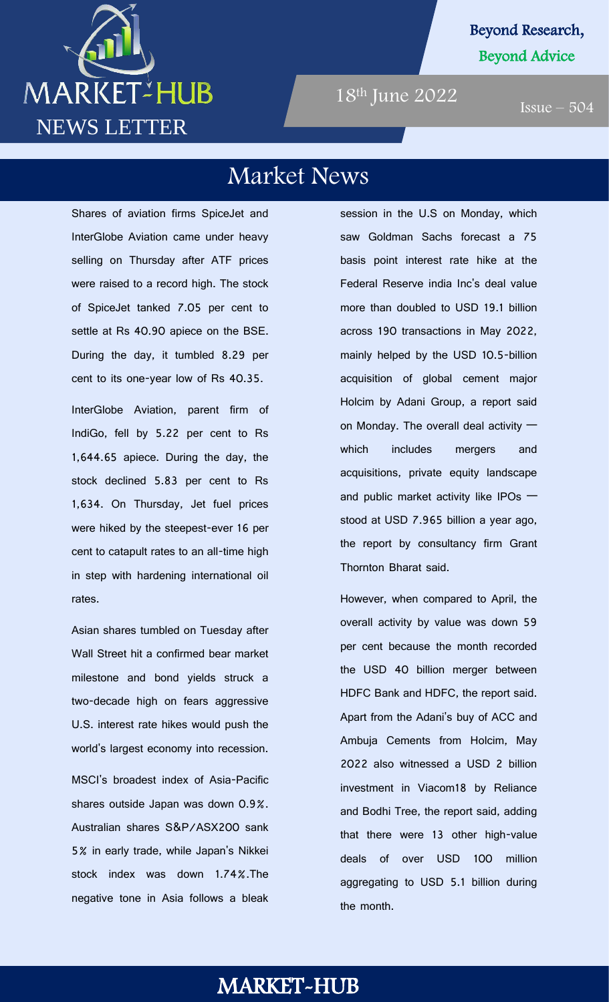

#### Beyond Research, Beyond Advice

18th June 2022

 $Issue - 504$ 

### Market News

Shares of aviation firms SpiceJet and InterGlobe Aviation came under heavy selling on Thursday after ATF prices were raised to a record high. The stock of SpiceJet tanked 7.05 per cent to settle at Rs 40.90 apiece on the BSE. During the day, it tumbled 8.29 per cent to its one-year low of Rs 40.35.

InterGlobe Aviation, parent firm of IndiGo, fell by 5.22 per cent to Rs 1,644.65 apiece. During the day, the stock declined 5.83 per cent to Rs 1,634. On Thursday, Jet fuel prices were hiked by the steepest-ever 16 per cent to catapult rates to an all-time high in step with hardening international oil rates.

Asian shares tumbled on Tuesday after Wall Street hit a confirmed bear market milestone and bond yields struck a two-decade high on fears aggressive U.S. interest rate hikes would push the world's largest economy into recession.

MSCI's broadest index of Asia-Pacific shares outside Japan was down 0.9%. Australian shares S&P/ASX200 sank 5% in early trade, while Japan's Nikkei stock index was down 1.74%.The negative tone in Asia follows a bleak

session in the U.S on Monday, which saw Goldman Sachs forecast a 75 basis point interest rate hike at the Federal Reserve india Inc's deal value

more than doubled to USD 19.1 billion across 190 transactions in May 2022, mainly helped by the USD 10.5-billion acquisition of global cement major Holcim by Adani Group, a report said on Monday. The overall deal activity which includes mergers and acquisitions, private equity landscape and public market activity like IPOs stood at USD 7.965 billion a year ago, the report by consultancy firm Grant Thornton Bharat said.

However, when compared to April, the overall activity by value was down 59 per cent because the month recorded the USD 40 billion merger between HDFC Bank and HDFC, the report said. Apart from the Adani's buy of ACC and Ambuja Cements from Holcim, May 2022 also witnessed a USD 2 billion investment in Viacom18 by Reliance and Bodhi Tree, the report said, adding that there were 13 other high-value deals of over USD 100 million aggregating to USD 5.1 billion during the month.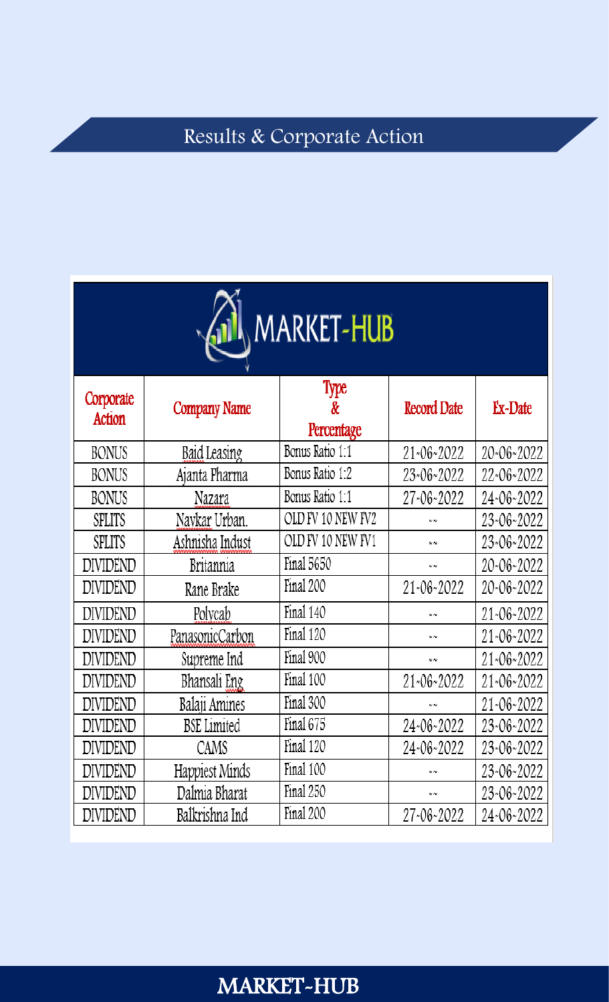# Results & Corporate Action

| MARKET-HUB          |                     |                         |                    |                |  |
|---------------------|---------------------|-------------------------|--------------------|----------------|--|
| Corporate<br>Action | <b>Company Name</b> | Type<br>&<br>Percentage | <b>Record Date</b> | <b>Ex-Date</b> |  |
| <b>BONUS</b>        | Baid Leasing        | Bonus Ratio 1:1         | 21~06~2022         | 20~06~2022     |  |
| <b>BONUS</b>        | Ajanta Pharma       | Bonus Ratio 1:2         | 23~06~2022         | 22~06~2022     |  |
| <b>BONUS</b>        | Nazara              | Bonus Ratio 1:1         | 27~06~2022         | 24~06~2022     |  |
| SPLITS              | Navkar Urban.       | OLD FV 10 NEW FV2       | N N                | 23~06~2022     |  |
| SPLITS              | Ashnisha Indust     | OLD FV 10 NEW FV1       | NN                 | 23~06~2022     |  |
| <b>DIVIDEND</b>     | Britannia           | Final 5650              | NN                 | 20~06~2022     |  |
| DIVIDEND            | Rane Brake          | Final 200               | 21~06~2022         | 20~06~2022     |  |
| DIVIDEND            | Polycab             | Final 140               | N N                | 21~06~2022     |  |
| DIVIDEND            | PanasonicCarbon     | Final 120               | N N                | 21~06~2022     |  |
| DIVIDEND            | Supreme Ind         | Final 900               | N N                | 21~06~2022     |  |
| DIVIDEND            | Bhansali Eng        | Final 100               | 21~06~2022         | 21~06~2022     |  |
| DIVIDEND            | Balaji Amines       | Final 300               | N N                | 21~06~2022     |  |
| DIVIDEND            | <b>BSE</b> Limited  | Final 675               | 24~06~2022         | 23~06~2022     |  |
| DIVIDEND            | CAMS                | Final 120               | 24~06~2022         | 23~06~2022     |  |
| DIVIDEND            | Happiest Minds      | Final 100               | N N                | 23~06~2022     |  |
| DIVIDEND            | Dalmia Bharat       | Final 250               | NN                 | 23~06~2022     |  |
| DIVIDEND            | Balkrishna Ind      | Final 200               | 27~06~2022         | 24~06~2022     |  |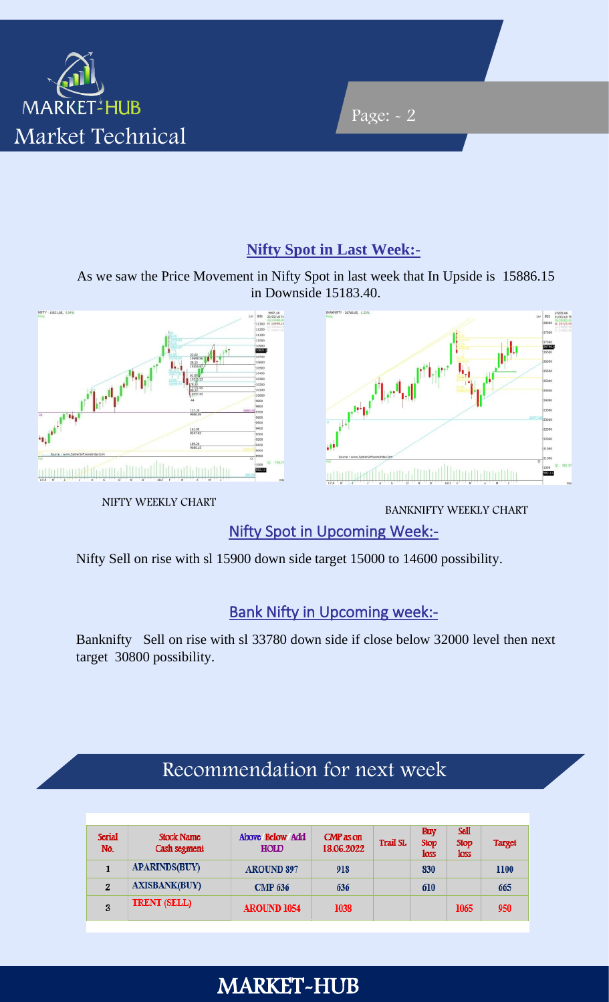

#### **Nifty Spot in Last Week:-**

Page: - 2

As we saw the Price Movement in Nifty Spot in last week that In Upside is 15886.15 in Downside 15183.40.



NIFTY WEEKLY CHART



BANKNIFTY WEEKLY CHART

Nifty Spot in Upcoming Week:-

Nifty Sell on rise with sl 15900 down side target 15000 to 14600 possibility.

#### **Bank Nifty in Upcoming week:-**

Banknifty Sell on rise with sl 33780 down side if close below 32000 level then next target 30800 possibility.

### Recommendation for next week

| <b>Serial</b><br>No. | <b>Stock Name</b><br>Cash segment | Above Below Add<br><b>HOLD</b> | $CMP$ as on<br>18.06.2022 | <b>Trail SL</b> | <b>Buy</b><br><b>Stop</b><br><b>loss</b> | <b>Sell</b><br><b>Stop</b><br><b>loss</b> | <b>Target</b> |
|----------------------|-----------------------------------|--------------------------------|---------------------------|-----------------|------------------------------------------|-------------------------------------------|---------------|
|                      | <b>APARINDS(BUY)</b>              | <b>AROUND 897</b>              | 918                       |                 | 830                                      |                                           | 1100          |
| $\overline{2}$       | <b>AXISBANK(BUY)</b>              | <b>CMP 636</b>                 | 636                       |                 | 610                                      |                                           | 665           |
| 3                    | <b>TRENT (SELL)</b>               | <b>AROUND 1054</b>             | 1038                      |                 |                                          | 1065                                      | 950           |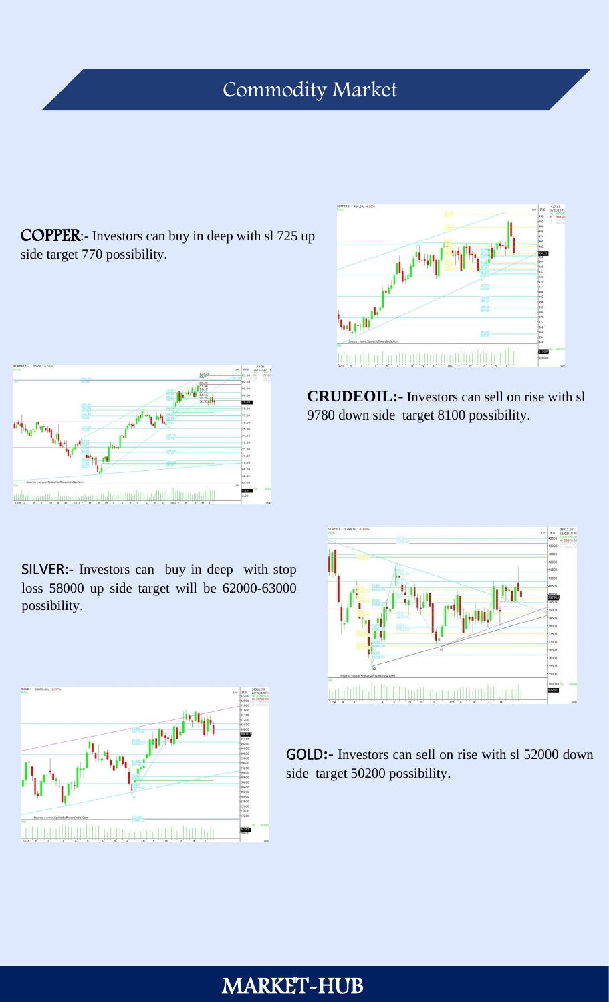### Commodity Market

COPPER:- Investors can buy in deep with sl 725 up side target 770 possibility.



SILVER:- Investors can buy in deep with stop loss 58000 up side target will be 62000-63000 possibility.



 **CRUDEOIL:-** Investors can sell on rise with sl 9780 down side target 8100 possibility.





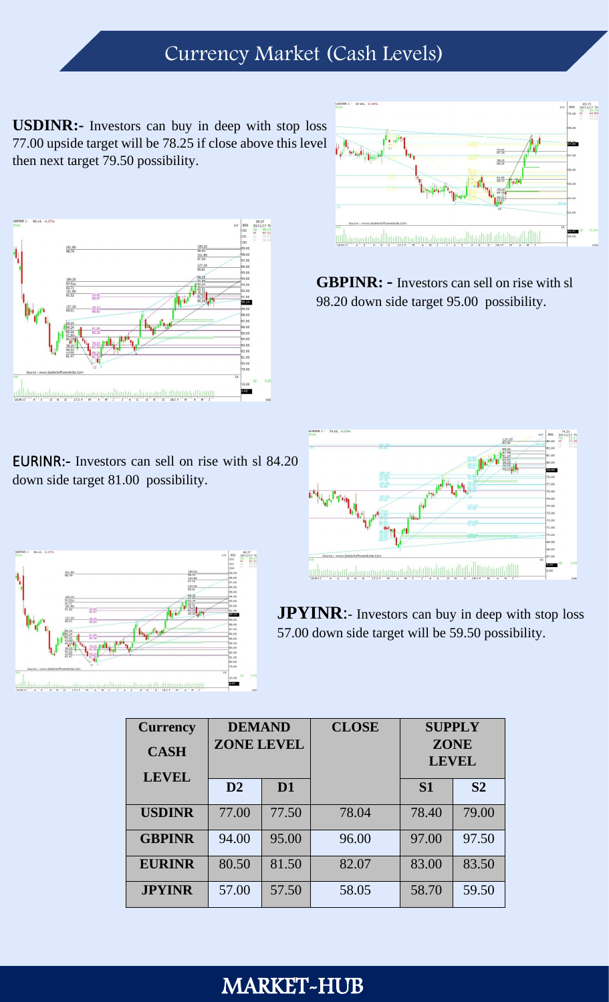### Currency Market (Cash Levels)

**USDINR:-** Investors can buy in deep with stop loss 77.00 upside target will be 78.25 if close above this level then next target 79.50 possibility.



EURINR:- Investors can sell on rise with sl 84.20 down side target 81.00 possibility.





**GBPINR: -** Investors can sell on rise with sl 98.20 down side target 95.00 possibility.



**JPYINR:**- Investors can buy in deep with stop loss 57.00 down side target will be 59.50 possibility.

| <b>Currency</b><br><b>CASH</b><br><b>LEVEL</b> | <b>DEMAND</b><br><b>ZONE LEVEL</b> |                | <b>CLOSE</b> | <b>SUPPLY</b><br><b>ZONE</b><br><b>LEVEL</b> |                |
|------------------------------------------------|------------------------------------|----------------|--------------|----------------------------------------------|----------------|
|                                                | D2                                 | D <sub>1</sub> |              | <b>S1</b>                                    | S <sub>2</sub> |
| <b>USDINR</b>                                  | 77.00                              | 77.50          | 78.04        | 78.40                                        | 79.00          |
| <b>GBPINR</b>                                  | 94.00                              | 95.00          | 96.00        | 97.00                                        | 97.50          |
| <b>EURINR</b>                                  | 80.50                              | 81.50          | 82.07        | 83.00                                        | 83.50          |
| <b>JPYINR</b>                                  | 57.00                              | 57.50          | 58.05        | 58.70                                        | 59.50          |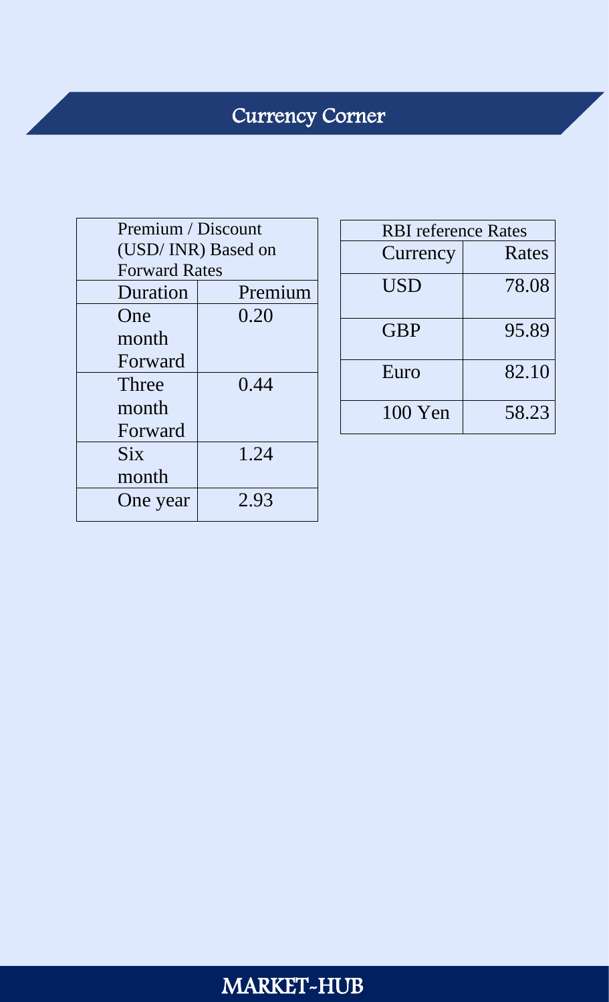# Currency Corner

| Premium / Discount |                      |  |  |  |  |
|--------------------|----------------------|--|--|--|--|
|                    | (USD/INR) Based on   |  |  |  |  |
|                    | <b>Forward Rates</b> |  |  |  |  |
| Duration           | Premium              |  |  |  |  |
| One                | 0.20                 |  |  |  |  |
| month              |                      |  |  |  |  |
| Forward            |                      |  |  |  |  |
| Three              | 0.44                 |  |  |  |  |
| month              |                      |  |  |  |  |
| Forward            |                      |  |  |  |  |
| <b>Six</b>         | 1.24                 |  |  |  |  |
| month              |                      |  |  |  |  |
| One year           | 2.93                 |  |  |  |  |
|                    |                      |  |  |  |  |

| <b>RBI</b> reference Rates |       |  |  |  |
|----------------------------|-------|--|--|--|
| Currency                   | Rates |  |  |  |
| <b>USD</b>                 | 78.08 |  |  |  |
| <b>GBP</b>                 | 95.89 |  |  |  |
| Euro                       | 82.10 |  |  |  |
| 100 Yen                    | 58.23 |  |  |  |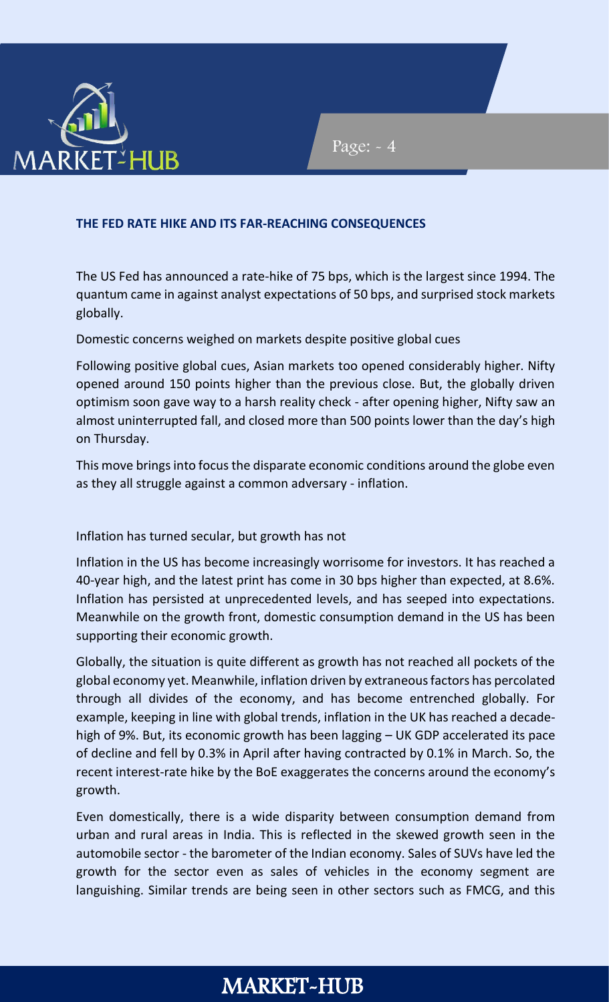

#### Page: - 4

#### **THE FED RATE HIKE AND ITS FAR-REACHING CONSEQUENCES**

The US Fed has announced a rate-hike of 75 bps, which is the largest since 1994. The quantum came in against analyst expectations of 50 bps, and surprised stock markets globally.

Domestic concerns weighed on markets despite positive global cues

Following positive global cues, Asian markets too opened considerably higher. Nifty opened around 150 points higher than the previous close. But, the globally driven optimism soon gave way to a harsh reality check - after opening higher, Nifty saw an almost uninterrupted fall, and closed more than 500 points lower than the day's high on Thursday.

This move brings into focus the disparate economic conditions around the globe even as they all struggle against a common adversary - inflation.

Inflation has turned secular, but growth has not

Inflation in the US has become increasingly worrisome for investors. It has reached a 40-year high, and the latest print has come in 30 bps higher than expected, at 8.6%. Inflation has persisted at unprecedented levels, and has seeped into expectations. Meanwhile on the growth front, domestic consumption demand in the US has been supporting their economic growth.

Globally, the situation is quite different as growth has not reached all pockets of the global economy yet. Meanwhile, inflation driven by extraneous factors has percolated through all divides of the economy, and has become entrenched globally. For example, keeping in line with global trends, inflation in the UK has reached a decadehigh of 9%. But, its economic growth has been lagging – UK GDP accelerated its pace of decline and fell by 0.3% in April after having contracted by 0.1% in March. So, the recent interest-rate hike by the BoE exaggerates the concerns around the economy's growth.

Even domestically, there is a wide disparity between consumption demand from urban and rural areas in India. This is reflected in the skewed growth seen in the automobile sector - the barometer of the Indian economy. Sales of SUVs have led the growth for the sector even as sales of vehicles in the economy segment are languishing. Similar trends are being seen in other sectors such as FMCG, and this